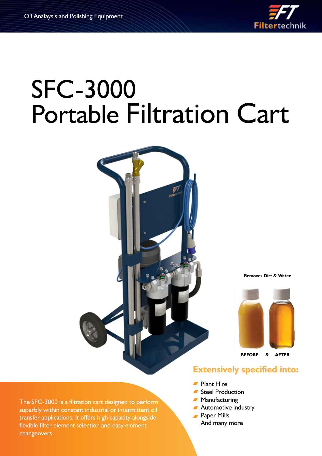

# SFC-3000 Portable Filtration Cart



**Removes Dirt & Water**



**BEFORE & AFTER**

## **Extensively specified into:**

- Plant Hire
- Steel Production
- **Manufacturing**
- **Automotive industry**
- **Paper Mills** 
	- And many more

The SFC-3000 is a filtration cart designed to perform superbly within constant industrial or intermittent oil transfer applications. It offers high capacity alongside flexible filter element selection and easy element changeovers.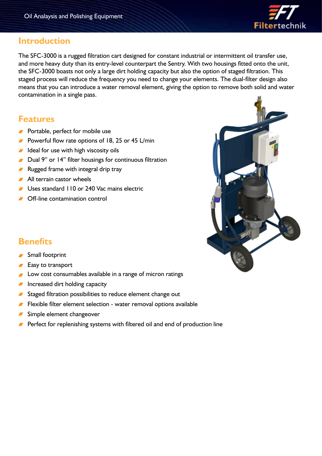

### **Introduction**

The SFC-3000 is a rugged filtration cart designed for constant industrial or intermittent oil transfer use, and more heavy duty than its entry-level counterpart the Sentry. With two housings fitted onto the unit, the SFC-3000 boasts not only a large dirt holding capacity but also the option of staged filtration. This staged process will reduce the frequency you need to change your elements. The dual-filter design also means that you can introduce a water removal element, giving the option to remove both solid and water contamination in a single pass.

## **Features**

- **Portable, perfect for mobile use**
- Powerful flow rate options of 18, 25 or 45 L/min
- $I$  Ideal for use with high viscosity oils
- Dual 9" or 14" filter housings for continuous filtration
- Rugged frame with integral drip tray
- All terrain castor wheels
- Uses standard 110 or 240 Vac mains electric
- **■** Off-line contamination control



# **Benefits**

#### Small footprint

- Easy to transport
- Low cost consumables available in a range of micron ratings
- Increased dirt holding capacity
- Staged filtration possibilities to reduce element change out
- Flexible filter element selection water removal options available
- Simple element changeover
- Perfect for replenishing systems with filtered oil and end of production line